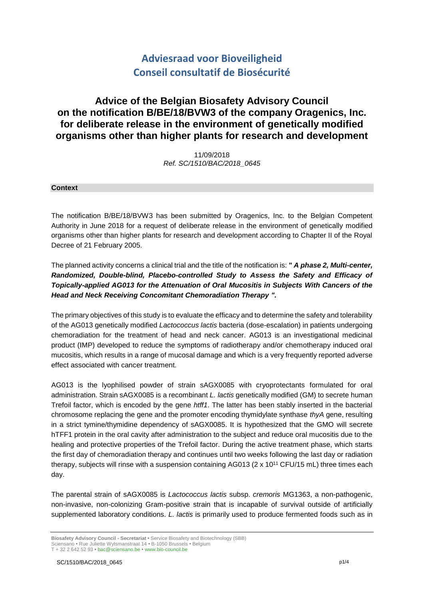# **Adviesraad voor Bioveiligheid Conseil consultatif de Biosécurité**

## **Advice of the Belgian Biosafety Advisory Council on the notification B/BE/18/BVW3 of the company Oragenics, Inc. for deliberate release in the environment of genetically modified organisms other than higher plants for research and development**

11/09/2018 *Ref. SC/1510/BAC/2018\_0645*

#### **Context**

The notification B/BE/18/BVW3 has been submitted by Oragenics, Inc. to the Belgian Competent Authority in June 2018 for a request of deliberate release in the environment of genetically modified organisms other than higher plants for research and development according to Chapter II of the Royal Decree of 21 February 2005.

The planned activity concerns a clinical trial and the title of the notification is: **"** *A phase 2, Multi-center, Randomized, Double-blind, Placebo-controlled Study to Assess the Safety and Efficacy of Topically-applied AG013 for the Attenuation of Oral Mucositis in Subjects With Cancers of the Head and Neck Receiving Concomitant Chemoradiation Therapy ".*

The primary objectives of this study is to evaluate the efficacy and to determine the safety and tolerability of the AG013 genetically modified *Lactococcus lactis* bacteria (dose-escalation) in patients undergoing chemoradiation for the treatment of head and neck cancer. AG013 is an investigational medicinal product (IMP) developed to reduce the symptoms of radiotherapy and/or chemotherapy induced oral mucositis, which results in a range of mucosal damage and which is a very frequently reported adverse effect associated with cancer treatment.

AG013 is the lyophilised powder of strain sAGX0085 with cryoprotectants formulated for oral administration. Strain sAGX0085 is a recombinant *L. lactis* genetically modified (GM) to secrete human Trefoil factor, which is encoded by the gene *htff1*. The latter has been stably inserted in the bacterial chromosome replacing the gene and the promoter encoding thymidylate synthase *thyA* gene, resulting in a strict tymine/thymidine dependency of sAGX0085. It is hypothesized that the GMO will secrete hTFF1 protein in the oral cavity after administration to the subject and reduce oral mucositis due to the healing and protective properties of the Trefoil factor. During the active treatment phase, which starts the first day of chemoradiation therapy and continues until two weeks following the last day or radiation therapy, subjects will rinse with a suspension containing AG013 ( $2 \times 10^{11}$  CFU/15 mL) three times each day.

The parental strain of sAGX0085 is *Lactococcus lactis* subsp. *cremoris* MG1363, a non-pathogenic, non-invasive, non-colonizing Gram-positive strain that is incapable of survival outside of artificially supplemented laboratory conditions. *L. lactis* is primarily used to produce fermented foods such as in

T + 32 2 642 52 93 **•** bac@sciensano.be **•** www.bio-council.be

**Biosafety Advisory Council - Secretariat •** Service Biosafety and Biotechnology (SBB) Sciensano **•** Rue Juliette Wytsmanstraat 14 **•** B-1050 Brussels **•** Belgium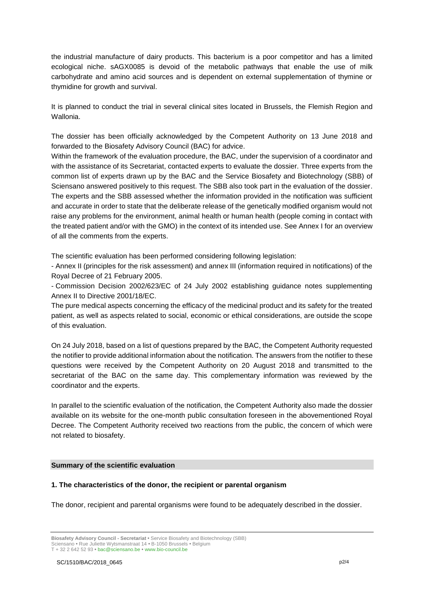the industrial manufacture of dairy products. This bacterium is a poor competitor and has a limited ecological niche. sAGX0085 is devoid of the metabolic pathways that enable the use of milk carbohydrate and amino acid sources and is dependent on external supplementation of thymine or thymidine for growth and survival.

It is planned to conduct the trial in several clinical sites located in Brussels, the Flemish Region and Wallonia.

The dossier has been officially acknowledged by the Competent Authority on 13 June 2018 and forwarded to the Biosafety Advisory Council (BAC) for advice.

Within the framework of the evaluation procedure, the BAC, under the supervision of a coordinator and with the assistance of its Secretariat, contacted experts to evaluate the dossier. Three experts from the common list of experts drawn up by the BAC and the Service Biosafety and Biotechnology (SBB) of Sciensano answered positively to this request. The SBB also took part in the evaluation of the dossier. The experts and the SBB assessed whether the information provided in the notification was sufficient and accurate in order to state that the deliberate release of the genetically modified organism would not raise any problems for the environment, animal health or human health (people coming in contact with the treated patient and/or with the GMO) in the context of its intended use. See Annex I for an overview of all the comments from the experts.

The scientific evaluation has been performed considering following legislation:

- Annex II (principles for the risk assessment) and annex III (information required in notifications) of the Royal Decree of 21 February 2005.

- Commission Decision 2002/623/EC of 24 July 2002 establishing guidance notes supplementing Annex II to Directive 2001/18/EC.

The pure medical aspects concerning the efficacy of the medicinal product and its safety for the treated patient, as well as aspects related to social, economic or ethical considerations, are outside the scope of this evaluation.

On 24 July 2018, based on a list of questions prepared by the BAC, the Competent Authority requested the notifier to provide additional information about the notification. The answers from the notifier to these questions were received by the Competent Authority on 20 August 2018 and transmitted to the secretariat of the BAC on the same day. This complementary information was reviewed by the coordinator and the experts.

In parallel to the scientific evaluation of the notification, the Competent Authority also made the dossier available on its website for the one-month public consultation foreseen in the abovementioned Royal Decree. The Competent Authority received two reactions from the public, the concern of which were not related to biosafety.

#### **Summary of the scientific evaluation**

#### **1. The characteristics of the donor, the recipient or parental organism**

The donor, recipient and parental organisms were found to be adequately described in the dossier.

T + 32 2 642 52 93 **•** bac@sciensano.be **•** www.bio-council.be

**Biosafety Advisory Council - Secretariat •** Service Biosafety and Biotechnology (SBB) Sciensano **•** Rue Juliette Wytsmanstraat 14 **•** B-1050 Brussels **•** Belgium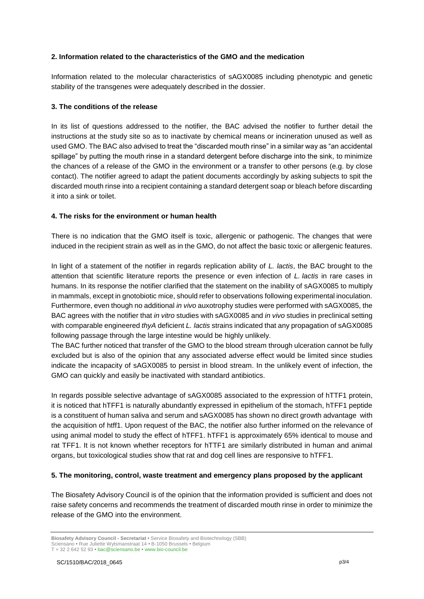## **2. Information related to the characteristics of the GMO and the medication**

Information related to the molecular characteristics of sAGX0085 including phenotypic and genetic stability of the transgenes were adequately described in the dossier.

## **3. The conditions of the release**

In its list of questions addressed to the notifier, the BAC advised the notifier to further detail the instructions at the study site so as to inactivate by chemical means or incineration unused as well as used GMO. The BAC also advised to treat the "discarded mouth rinse" in a similar way as "an accidental spillage" by putting the mouth rinse in a standard detergent before discharge into the sink, to minimize the chances of a release of the GMO in the environment or a transfer to other persons (e.g. by close contact). The notifier agreed to adapt the patient documents accordingly by asking subjects to spit the discarded mouth rinse into a recipient containing a standard detergent soap or bleach before discarding it into a sink or toilet.

## **4. The risks for the environment or human health**

There is no indication that the GMO itself is toxic, allergenic or pathogenic. The changes that were induced in the recipient strain as well as in the GMO, do not affect the basic toxic or allergenic features.

In light of a statement of the notifier in regards replication ability of *L. lactis*, the BAC brought to the attention that scientific literature reports the presence or even infection of *L. lactis* in rare cases in humans. In its response the notifier clarified that the statement on the inability of sAGX0085 to multiply in mammals, except in gnotobiotic mice, should refer to observations following experimental inoculation. Furthermore, even though no additional *in vivo* auxotrophy studies were performed with sAGX0085, the BAC agrees with the notifier that *in vitro* studies with sAGX0085 and *in vivo* studies in preclinical setting with comparable engineered *thyA* deficient *L. lactis* strains indicated that any propagation of sAGX0085 following passage through the large intestine would be highly unlikely.

The BAC further noticed that transfer of the GMO to the blood stream through ulceration cannot be fully excluded but is also of the opinion that any associated adverse effect would be limited since studies indicate the incapacity of sAGX0085 to persist in blood stream. In the unlikely event of infection, the GMO can quickly and easily be inactivated with standard antibiotics.

In regards possible selective advantage of sAGX0085 associated to the expression of hTTF1 protein, it is noticed that hTFF1 is naturally abundantly expressed in epithelium of the stomach, hTFF1 peptide is a constituent of human saliva and serum and sAGX0085 has shown no direct growth advantage with the acquisition of htff1. Upon request of the BAC, the notifier also further informed on the relevance of using animal model to study the effect of hTFF1. hTFF1 is approximately 65% identical to mouse and rat TFF1. It is not known whether receptors for hTTF1 are similarly distributed in human and animal organs, but toxicological studies show that rat and dog cell lines are responsive to hTFF1.

## **5. The monitoring, control, waste treatment and emergency plans proposed by the applicant**

The Biosafety Advisory Council is of the opinion that the information provided is sufficient and does not raise safety concerns and recommends the treatment of discarded mouth rinse in order to minimize the release of the GMO into the environment.

**Biosafety Advisory Council - Secretariat •** Service Biosafety and Biotechnology (SBB) Sciensano **•** Rue Juliette Wytsmanstraat 14 **•** B-1050 Brussels **•** Belgium

T + 32 2 642 52 93 **•** bac@sciensano.be **•** www.bio-council.be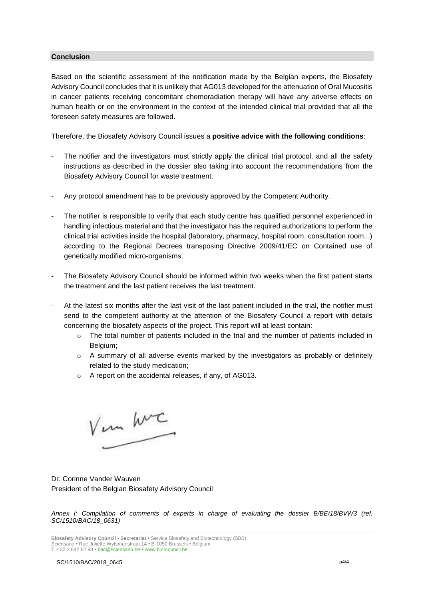#### **Conclusion**

Based on the scientific assessment of the notification made by the Belgian experts, the Biosafety Advisory Council concludes that it is unlikely that AG013 developed for the attenuation of Oral Mucositis in cancer patients receiving concomitant chemoradiation therapy will have any adverse effects on human health or on the environment in the context of the intended clinical trial provided that all the foreseen safety measures are followed.

Therefore, the Biosafety Advisory Council issues a **positive advice with the following conditions**:

- The notifier and the investigators must strictly apply the clinical trial protocol, and all the safety instructions as described in the dossier also taking into account the recommendations from the Biosafety Advisory Council for waste treatment.
- Any protocol amendment has to be previously approved by the Competent Authority.
- The notifier is responsible to verify that each study centre has qualified personnel experienced in handling infectious material and that the investigator has the required authorizations to perform the clinical trial activities inside the hospital (laboratory, pharmacy, hospital room, consultation room...) according to the Regional Decrees transposing Directive 2009/41/EC on Contained use of genetically modified micro-organisms.
- The Biosafety Advisory Council should be informed within two weeks when the first patient starts the treatment and the last patient receives the last treatment.
- At the latest six months after the last visit of the last patient included in the trial, the notifier must send to the competent authority at the attention of the Biosafety Council a report with details concerning the biosafety aspects of the project. This report will at least contain:
	- $\circ$  The total number of patients included in the trial and the number of patients included in Belgium;
	- $\circ$  A summary of all adverse events marked by the investigators as probably or definitely related to the study medication;
	- o A report on the accidental releases, if any, of AG013.

Vem hvc

Dr. Corinne Vander Wauven President of the Belgian Biosafety Advisory Council

*Annex I: Compilation of comments of experts in charge of evaluating the dossier B/BE/18/BVW3 (ref. SC/1510/BAC/18\_0631)*

**Biosafety Advisory Council - Secretariat •** Service Biosafety and Biotechnology (SBB) Sciensano **•** Rue Juliette Wytsmanstraat 14 **•** B-1050 Brussels **•** Belgium T + 32 2 642 52 93 **•** bac@sciensano.be **•** www.bio-council.be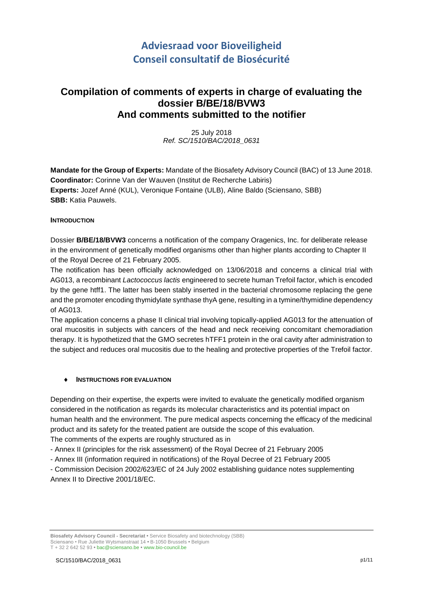# **Adviesraad voor Bioveiligheid Conseil consultatif de Biosécurité**

## **Compilation of comments of experts in charge of evaluating the dossier B/BE/18/BVW3 And comments submitted to the notifier**

25 July 2018 *Ref. SC/1510/BAC/2018\_0631*

**Mandate for the Group of Experts:** Mandate of the Biosafety Advisory Council (BAC) of 13 June 2018. **Coordinator:** Corinne Van der Wauven (Institut de Recherche Labiris) **Experts:** Jozef Anné (KUL), Veronique Fontaine (ULB), Aline Baldo (Sciensano, SBB) **SBB:** Katia Pauwels.

## **INTRODUCTION**

Dossier **B/BE/18/BVW3** concerns a notification of the company Oragenics, Inc. for deliberate release in the environment of genetically modified organisms other than higher plants according to Chapter II of the Royal Decree of 21 February 2005.

The notification has been officially acknowledged on 13/06/2018 and concerns a clinical trial with AG013, a recombinant *Lactococcus lactis* engineered to secrete human Trefoil factor, which is encoded by the gene htff1. The latter has been stably inserted in the bacterial chromosome replacing the gene and the promoter encoding thymidylate synthase thyA gene, resulting in a tymine/thymidine dependency of AG013.

The application concerns a phase II clinical trial involving topically-applied AG013 for the attenuation of oral mucositis in subjects with cancers of the head and neck receiving concomitant chemoradiation therapy. It is hypothetized that the GMO secretes hTFF1 protein in the oral cavity after administration to the subject and reduces oral mucositis due to the healing and protective properties of the Trefoil factor.

## **INSTRUCTIONS FOR EVALUATION**

Depending on their expertise, the experts were invited to evaluate the genetically modified organism considered in the notification as regards its molecular characteristics and its potential impact on human health and the environment. The pure medical aspects concerning the efficacy of the medicinal product and its safety for the treated patient are outside the scope of this evaluation.

The comments of the experts are roughly structured as in

- Annex II (principles for the risk assessment) of the Royal Decree of 21 February 2005
- Annex III (information required in notifications) of the Royal Decree of 21 February 2005

- Commission Decision 2002/623/EC of 24 July 2002 establishing guidance notes supplementing Annex II to Directive 2001/18/EC.

**Biosafety Advisory Council - Secretariat •** Service Biosafety and biotechnology (SBB) Sciensano • Rue Juliette Wytsmanstraat 14 **•** B-1050 Brussels **•** Belgium T + 32 2 642 52 93 **•** bac@sciensano.be **•** www.bio-council.be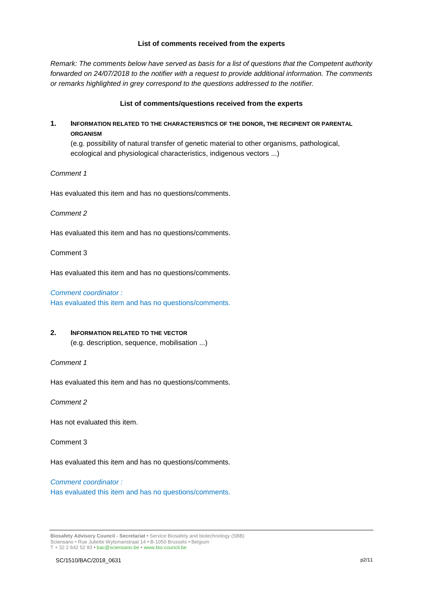#### **List of comments received from the experts**

*Remark: The comments below have served as basis for a list of questions that the Competent authority forwarded on 24/07/2018 to the notifier with a request to provide additional information. The comments or remarks highlighted in grey correspond to the questions addressed to the notifier.* 

## **List of comments/questions received from the experts**

## **1. INFORMATION RELATED TO THE CHARACTERISTICS OF THE DONOR, THE RECIPIENT OR PARENTAL ORGANISM**

(e.g. possibility of natural transfer of genetic material to other organisms, pathological, ecological and physiological characteristics, indigenous vectors ...)

#### *Comment 1*

Has evaluated this item and has no questions/comments.

*Comment 2*

Has evaluated this item and has no questions/comments.

Comment 3

Has evaluated this item and has no questions/comments.

#### *Comment coordinator :*

Has evaluated this item and has no questions/comments.

## **2. INFORMATION RELATED TO THE VECTOR**

(e.g. description, sequence, mobilisation ...)

## *Comment 1*

Has evaluated this item and has no questions/comments.

*Comment 2* 

Has not evaluated this item.

Comment 3

Has evaluated this item and has no questions/comments.

## *Comment coordinator :*  Has evaluated this item and has no questions/comments.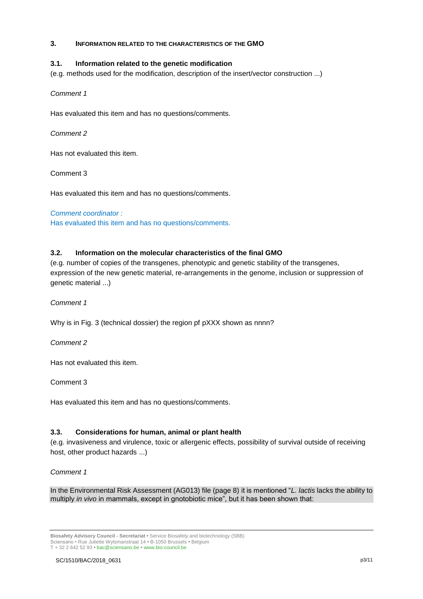## **3. INFORMATION RELATED TO THE CHARACTERISTICS OF THE GMO**

## **3.1. Information related to the genetic modification**

(e.g. methods used for the modification, description of the insert/vector construction ...)

*Comment 1*

Has evaluated this item and has no questions/comments.

*Comment 2* 

Has not evaluated this item.

Comment 3

Has evaluated this item and has no questions/comments.

*Comment coordinator :*  Has evaluated this item and has no questions/comments.

## **3.2. Information on the molecular characteristics of the final GMO**

(e.g. number of copies of the transgenes, phenotypic and genetic stability of the transgenes, expression of the new genetic material, re-arrangements in the genome, inclusion or suppression of genetic material ...)

*Comment 1*

Why is in Fig. 3 (technical dossier) the region pf pXXX shown as nnnn?

*Comment 2* 

Has not evaluated this item.

Comment 3

Has evaluated this item and has no questions/comments.

## **3.3. Considerations for human, animal or plant health**

(e.g. invasiveness and virulence, toxic or allergenic effects, possibility of survival outside of receiving host, other product hazards ...)

## *Comment 1*

In the Environmental Risk Assessment (AG013) file (page 8) it is mentioned "*L. lactis* lacks the ability to multiply *in vivo* in mammals, except in gnotobiotic mice", but it has been shown that:

**Biosafety Advisory Council - Secretariat •** Service Biosafety and biotechnology (SBB) Sciensano • Rue Juliette Wytsmanstraat 14 **•** B-1050 Brussels **•** Belgium T + 32 2 642 52 93 **•** bac@sciensano.be **•** www.bio-council.be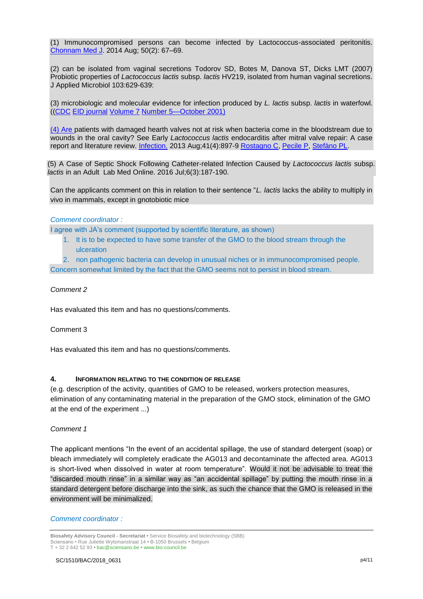(1) Immunocompromised persons can become infected by Lactococcus-associated peritonitis. [Chonnam Med J.](https://www.ncbi.nlm.nih.gov/pmc/articles/PMC4161764/) 2014 Aug; 50(2): 67–69.

(2) can be isolated from vaginal secretions Todorov SD, Botes M, Danova ST, Dicks LMT (2007) Probiotic properties of *Lactococcus lactis* subsp. *lactis* HV219, isolated from human vaginal secretions. J Applied Microbiol 103:629-639:

(3) microbiologic and molecular evidence for infection produced by *L. lactis* subsp. *lactis* in waterfowl. ([\(CDC](https://www.cdc.gov/) [EID journal](https://wwwnc.cdc.gov/eid/) [Volume 7](https://wwwnc.cdc.gov/eid/past-issues/volume-7) [Number 5—October 2001\)](https://wwwnc.cdc.gov/eid/articles/issue/7/5/table-of-contents)

(4) Are patients with damaged hearth valves not at risk when bacteria come in the bloodstream due to wounds in the oral cavity? See Early *Lactococcus lactis* endocarditis after mitral valve repair: A case report and literature review. [Infection.](https://www.ncbi.nlm.nih.gov/pubmed/23225172) 2013 Aug;41(4):897-9 [Rostagno C,](https://www.ncbi.nlm.nih.gov/pubmed/?term=Rostagno%20C%5BAuthor%5D&cauthor=true&cauthor_uid=23225172) [Pecile P,](https://www.ncbi.nlm.nih.gov/pubmed/?term=Pecile%20P%5BAuthor%5D&cauthor=true&cauthor_uid=23225172) [Stefàno PL.](https://www.ncbi.nlm.nih.gov/pubmed/?term=Stef%C3%A0no%20PL%5BAuthor%5D&cauthor=true&cauthor_uid=23225172)

(5) A Case of Septic Shock Following Catheter-related Infection Caused by *Lactococcus lactis* subsp. *lactis* in an Adult Lab Med Online. 2016 Jul;6(3):187-190.

Can the applicants comment on this in relation to their sentence "*L. lactis* lacks the ability to multiply in vivo in mammals, except in gnotobiotic mice

#### *Comment coordinator :*

I agree with JA's comment (supported by scientific literature, as shown)

- 1. It is to be expected to have some transfer of the GMO to the blood stream through the ulceration
- 2. non pathogenic bacteria can develop in unusual niches or in immunocompromised people.

Concern somewhat limited by the fact that the GMO seems not to persist in blood stream.

#### *Comment 2*

Has evaluated this item and has no questions/comments.

#### Comment 3

Has evaluated this item and has no questions/comments.

#### **4. INFORMATION RELATING TO THE CONDITION OF RELEASE**

(e.g. description of the activity, quantities of GMO to be released, workers protection measures, elimination of any contaminating material in the preparation of the GMO stock, elimination of the GMO at the end of the experiment ...)

#### *Comment 1*

The applicant mentions "In the event of an accidental spillage, the use of standard detergent (soap) or bleach immediately will completely eradicate the AG013 and decontaminate the affected area. AG013 is short-lived when dissolved in water at room temperature". Would it not be advisable to treat the "discarded mouth rinse" in a similar way as "an accidental spillage" by putting the mouth rinse in a standard detergent before discharge into the sink, as such the chance that the GMO is released in the environment will be minimalized.

#### *Comment coordinator :*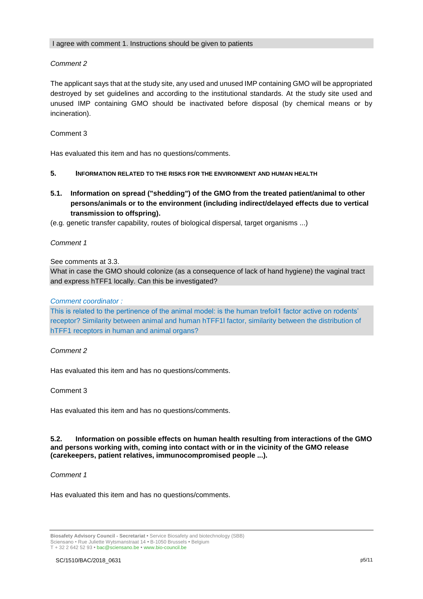## *Comment 2*

The applicant says that at the study site, any used and unused IMP containing GMO will be appropriated destroyed by set guidelines and according to the institutional standards. At the study site used and unused IMP containing GMO should be inactivated before disposal (by chemical means or by incineration).

## Comment 3

Has evaluated this item and has no questions/comments.

#### **5. INFORMATION RELATED TO THE RISKS FOR THE ENVIRONMENT AND HUMAN HEALTH**

**5.1. Information on spread ("shedding") of the GMO from the treated patient/animal to other persons/animals or to the environment (including indirect/delayed effects due to vertical transmission to offspring).**

(e.g. genetic transfer capability, routes of biological dispersal, target organisms ...)

*Comment 1*

See comments at 3.3.

What in case the GMO should colonize (as a consequence of lack of hand hygiene) the vaginal tract and express hTFF1 locally. Can this be investigated?

## *Comment coordinator :*

This is related to the pertinence of the animal model: is the human trefoil1 factor active on rodents' receptor? Similarity between animal and human hTFF1l factor, similarity between the distribution of hTFF1 receptors in human and animal organs?

## *Comment 2*

Has evaluated this item and has no questions/comments.

#### Comment 3

Has evaluated this item and has no questions/comments.

#### **5.2. Information on possible effects on human health resulting from interactions of the GMO and persons working with, coming into contact with or in the vicinity of the GMO release (carekeepers, patient relatives, immunocompromised people ...).**

#### *Comment 1*

Has evaluated this item and has no questions/comments.

**Biosafety Advisory Council - Secretariat •** Service Biosafety and biotechnology (SBB) Sciensano • Rue Juliette Wytsmanstraat 14 **•** B-1050 Brussels **•** Belgium T + 32 2 642 52 93 **•** bac@sciensano.be **•** www.bio-council.be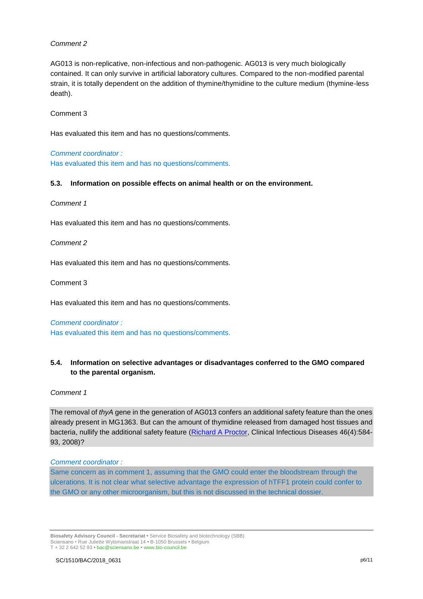## *Comment 2*

AG013 is non-replicative, non-infectious and non-pathogenic. AG013 is very much biologically contained. It can only survive in artificial laboratory cultures. Compared to the non-modified parental strain, it is totally dependent on the addition of thymine/thymidine to the culture medium (thymine-less death).

## Comment 3

Has evaluated this item and has no questions/comments.

#### *Comment coordinator :*

Has evaluated this item and has no questions/comments.

#### **5.3. Information on possible effects on animal health or on the environment.**

#### *Comment 1*

Has evaluated this item and has no questions/comments.

#### *Comment 2*

Has evaluated this item and has no questions/comments.

#### Comment 3

Has evaluated this item and has no questions/comments.

#### *Comment coordinator :*

Has evaluated this item and has no questions/comments.

## **5.4. Information on selective advantages or disadvantages conferred to the GMO compared to the parental organism.**

#### *Comment 1*

The removal of *thyA* gene in the generation of AG013 confers an additional safety feature than the ones already present in MG1363. But can the amount of thymidine released from damaged host tissues and bacteria, nullify the additional safety feature [\(Richard A Proctor,](https://www.researchgate.net/scientific-contributions/39302366_Richard_A_Proctor?_sg=OXkCwIOfLIkAMtwljSkwxpsJC9QgH5Oieanpf2JeBCfygM6YuEluAE7xNMwPPE7ZVnWkNuM.hy_LC38JLdeeHowPICYqeQnNsAHAp-35ZxUVy77p5i9hiNgEk0cKbP0cgBtGzS7TLD8pZCEzxIiELsyokTZVOg) Clinical Infectious Diseases 46(4):584-93, 2008)?

#### *Comment coordinator :*

Same concern as in comment 1, assuming that the GMO could enter the bloodstream through the ulcerations. It is not clear what selective advantage the expression of hTFF1 protein could confer to the GMO or any other microorganism, but this is not discussed in the technical dossier.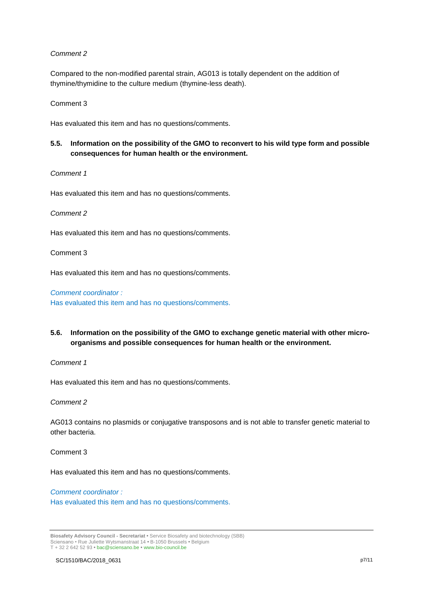#### *Comment 2*

Compared to the non-modified parental strain, AG013 is totally dependent on the addition of thymine/thymidine to the culture medium (thymine-less death).

Comment 3

Has evaluated this item and has no questions/comments.

## **5.5. Information on the possibility of the GMO to reconvert to his wild type form and possible consequences for human health or the environment.**

*Comment 1*

Has evaluated this item and has no questions/comments.

#### *Comment 2*

Has evaluated this item and has no questions/comments.

Comment 3

Has evaluated this item and has no questions/comments.

#### *Comment coordinator :*

Has evaluated this item and has no questions/comments.

## **5.6. Information on the possibility of the GMO to exchange genetic material with other microorganisms and possible consequences for human health or the environment.**

*Comment 1*

Has evaluated this item and has no questions/comments.

*Comment 2* 

AG013 contains no plasmids or conjugative transposons and is not able to transfer genetic material to other bacteria.

Comment 3

Has evaluated this item and has no questions/comments.

# *Comment coordinator :*

Has evaluated this item and has no questions/comments.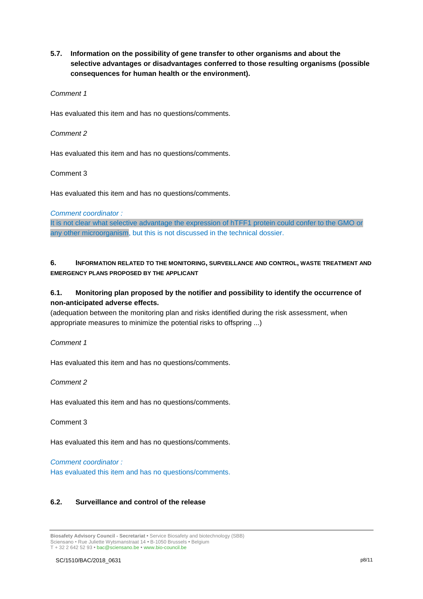**5.7. Information on the possibility of gene transfer to other organisms and about the selective advantages or disadvantages conferred to those resulting organisms (possible consequences for human health or the environment).**

#### *Comment 1*

Has evaluated this item and has no questions/comments.

#### *Comment 2*

Has evaluated this item and has no questions/comments.

#### Comment 3

Has evaluated this item and has no questions/comments.

#### *Comment coordinator :*

It is not clear what selective advantage the expression of hTFF1 protein could confer to the GMO or any other microorganism, but this is not discussed in the technical dossier.

## **6. INFORMATION RELATED TO THE MONITORING, SURVEILLANCE AND CONTROL, WASTE TREATMENT AND EMERGENCY PLANS PROPOSED BY THE APPLICANT**

## **6.1. Monitoring plan proposed by the notifier and possibility to identify the occurrence of non-anticipated adverse effects.**

(adequation between the monitoring plan and risks identified during the risk assessment, when appropriate measures to minimize the potential risks to offspring ...)

*Comment 1*

Has evaluated this item and has no questions/comments.

## *Comment 2*

Has evaluated this item and has no questions/comments.

Comment 3

Has evaluated this item and has no questions/comments.

*Comment coordinator :* 

Has evaluated this item and has no questions/comments.

## **6.2. Surveillance and control of the release**

**Biosafety Advisory Council - Secretariat •** Service Biosafety and biotechnology (SBB) Sciensano • Rue Juliette Wytsmanstraat 14 **•** B-1050 Brussels **•** Belgium T + 32 2 642 52 93 **•** bac@sciensano.be **•** www.bio-council.be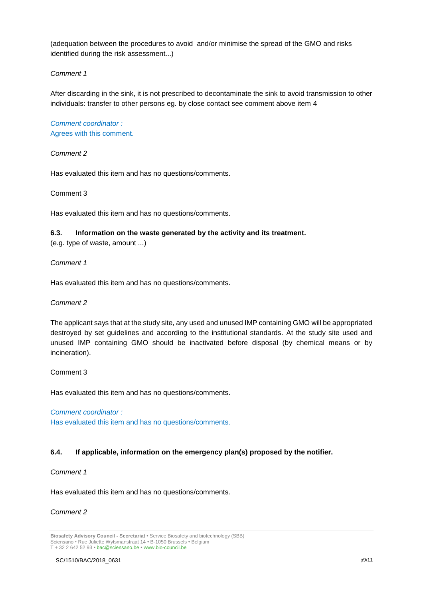(adequation between the procedures to avoid and/or minimise the spread of the GMO and risks identified during the risk assessment...)

## *Comment 1*

After discarding in the sink, it is not prescribed to decontaminate the sink to avoid transmission to other individuals: transfer to other persons eg. by close contact see comment above item 4

*Comment coordinator :*  Agrees with this comment.

*Comment 2* 

Has evaluated this item and has no questions/comments.

Comment 3

Has evaluated this item and has no questions/comments.

#### **6.3. Information on the waste generated by the activity and its treatment.**

(e.g. type of waste, amount ...)

*Comment 1*

Has evaluated this item and has no questions/comments.

*Comment 2* 

The applicant says that at the study site, any used and unused IMP containing GMO will be appropriated destroyed by set guidelines and according to the institutional standards. At the study site used and unused IMP containing GMO should be inactivated before disposal (by chemical means or by incineration).

Comment 3

Has evaluated this item and has no questions/comments.

*Comment coordinator :*  Has evaluated this item and has no questions/comments.

## **6.4. If applicable, information on the emergency plan(s) proposed by the notifier.**

*Comment 1*

Has evaluated this item and has no questions/comments.

*Comment 2*

**Biosafety Advisory Council - Secretariat •** Service Biosafety and biotechnology (SBB) Sciensano • Rue Juliette Wytsmanstraat 14 **•** B-1050 Brussels **•** Belgium T + 32 2 642 52 93 **•** bac@sciensano.be **•** www.bio-council.be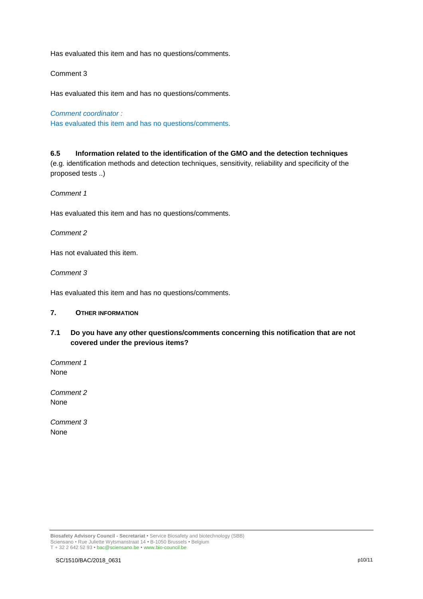Has evaluated this item and has no questions/comments.

## Comment 3

Has evaluated this item and has no questions/comments.

*Comment coordinator :*  Has evaluated this item and has no questions/comments.

#### **6.5 Information related to the identification of the GMO and the detection techniques**

(e.g. identification methods and detection techniques, sensitivity, reliability and specificity of the proposed tests ..)

*Comment 1*

Has evaluated this item and has no questions/comments.

#### *Comment 2*

Has not evaluated this item.

*Comment 3* 

Has evaluated this item and has no questions/comments.

#### **7. OTHER INFORMATION**

**7.1 Do you have any other questions/comments concerning this notification that are not covered under the previous items?**

*Comment 1* None

*Comment 2* None

*Comment 3* None